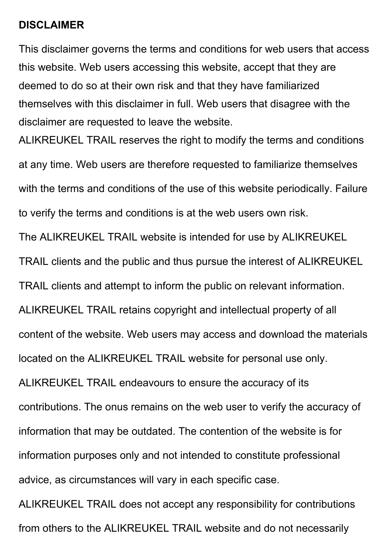#### **DISCLAIMER**

This disclaimer governs the terms and conditions for web users that access this website. Web users accessing this website, accept that they are deemed to do so at their own risk and that they have familiarized themselves with this disclaimer in full. Web users that disagree with the disclaimer are requested to leave the website.

ALIKREUKEL TRAIL reserves the right to modify the terms and conditions at any time. Web users are therefore requested to familiarize themselves with the terms and conditions of the use of this website periodically. Failure to verify the terms and conditions is at the web users own risk.

The ALIKREUKEL TRAIL website is intended for use by ALIKREUKEL

TRAIL clients and the public and thus pursue the interest of ALIKREUKEL

TRAIL clients and attempt to inform the public on relevant information.

ALIKREUKEL TRAIL retains copyright and intellectual property of all

content of the website. Web users may access and download the materials

located on the ALIKREUKEL TRAIL website for personal use only.

ALIKREUKEL TRAIL endeavours to ensure the accuracy of its contributions. The onus remains on the web user to verify the accuracy of information that may be outdated. The contention of the website is for information purposes only and not intended to constitute professional advice, as circumstances will vary in each specific case.

ALIKREUKEL TRAIL does not accept any responsibility for contributions from others to the ALIKREUKEL TRAIL website and do not necessarily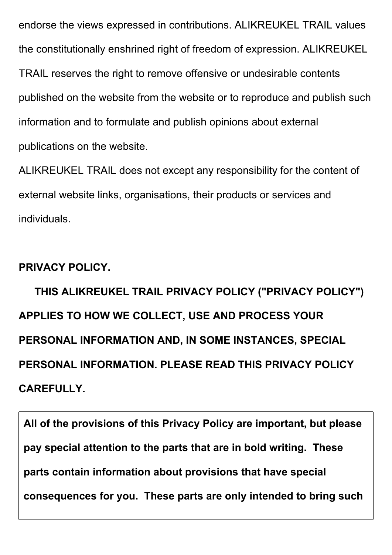endorse the views expressed in contributions. ALIKREUKEL TRAIL values the constitutionally enshrined right of freedom of expression. ALIKREUKEL TRAIL reserves the right to remove offensive or undesirable contents published on the website from the website or to reproduce and publish such information and to formulate and publish opinions about external publications on the website.

ALIKREUKEL TRAIL does not except any responsibility for the content of external website links, organisations, their products or services and individuals.

#### **PRIVACY POLICY.**

 **THIS ALIKREUKEL TRAIL PRIVACY POLICY ("PRIVACY POLICY") APPLIES TO HOW WE COLLECT, USE AND PROCESS YOUR PERSONAL INFORMATION AND, IN SOME INSTANCES, SPECIAL PERSONAL INFORMATION. PLEASE READ THIS PRIVACY POLICY CAREFULLY.**

**All of the provisions of this Privacy Policy are important, but please pay special attention to the parts that are in bold writing. These parts contain information about provisions that have special consequences for you. These parts are only intended to bring such**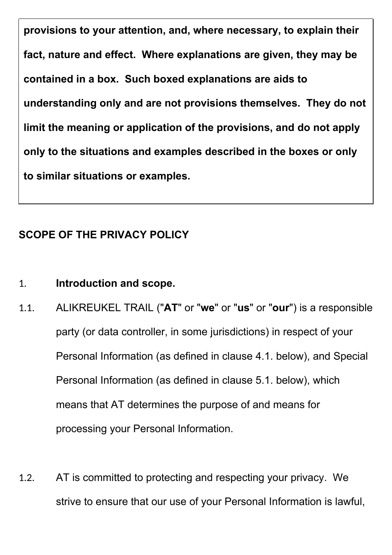**provisions to your attention, and, where necessary, to explain their fact, nature and effect. Where explanations are given, they may be contained in a box. Such boxed explanations are aids to understanding only and are not provisions themselves. They do not limit the meaning or application of the provisions, and do not apply only to the situations and examples described in the boxes or only to similar situations or examples.**

# **SCOPE OF THE PRIVACY POLICY**

## 1. **Introduction and scope.**

- 1.1. ALIKREUKEL TRAIL ("**AT**" or "**we**" or "**us**" or "**our**") is a responsible party (or data controller, in some jurisdictions) in respect of your Personal Information (as defined in clause 4.1. below), and Special Personal Information (as defined in clause 5.1. below), which means that AT determines the purpose of and means for processing your Personal Information.
- 1.2. AT is committed to protecting and respecting your privacy. We strive to ensure that our use of your Personal Information is lawful,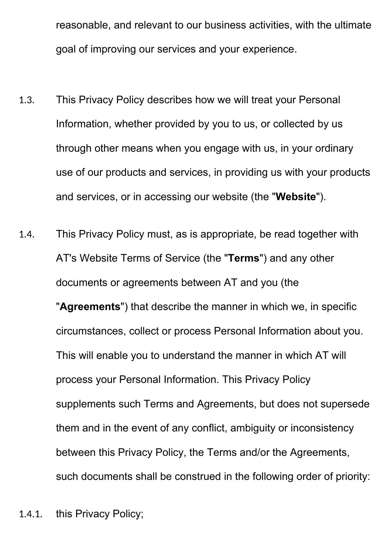reasonable, and relevant to our business activities, with the ultimate goal of improving our services and your experience.

- 1.3. This Privacy Policy describes how we will treat your Personal Information, whether provided by you to us, or collected by us through other means when you engage with us, in your ordinary use of our products and services, in providing us with your products and services, or in accessing our website (the "**Website**").
- 1.4. This Privacy Policy must, as is appropriate, be read together with AT's Website Terms of Service (the "**Terms**") and any other documents or agreements between AT and you (the "**Agreements**") that describe the manner in which we, in specific circumstances, collect or process Personal Information about you. This will enable you to understand the manner in which AT will process your Personal Information. This Privacy Policy supplements such Terms and Agreements, but does not supersede them and in the event of any conflict, ambiguity or inconsistency between this Privacy Policy, the Terms and/or the Agreements, such documents shall be construed in the following order of priority:
- 1.4.1. this Privacy Policy;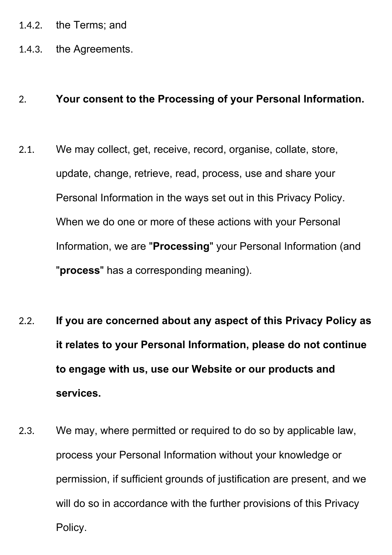- 1.4.2. the Terms; and
- 1.4.3. the Agreements.

#### 2. **Your consent to the Processing of your Personal Information.**

- 2.1. We may collect, get, receive, record, organise, collate, store, update, change, retrieve, read, process, use and share your Personal Information in the ways set out in this Privacy Policy. When we do one or more of these actions with your Personal Information, we are "**Processing**" your Personal Information (and "**process**" has a corresponding meaning).
- 2.2. **If you are concerned about any aspect of this Privacy Policy as it relates to your Personal Information, please do not continue to engage with us, use our Website or our products and services.**
- 2.3. We may, where permitted or required to do so by applicable law, process your Personal Information without your knowledge or permission, if sufficient grounds of justification are present, and we will do so in accordance with the further provisions of this Privacy Policy.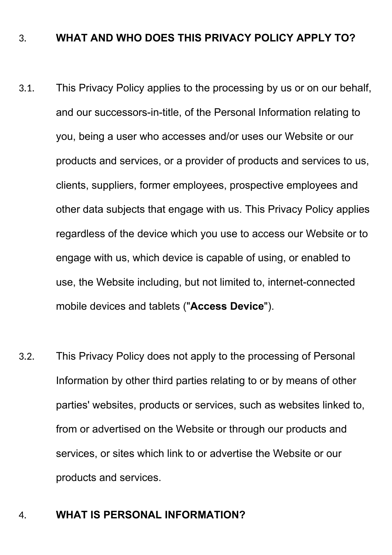#### 3. **WHAT AND WHO DOES THIS PRIVACY POLICY APPLY TO?**

- 3.1. This Privacy Policy applies to the processing by us or on our behalf, and our successors-in-title, of the Personal Information relating to you, being a user who accesses and/or uses our Website or our products and services, or a provider of products and services to us, clients, suppliers, former employees, prospective employees and other data subjects that engage with us. This Privacy Policy applies regardless of the device which you use to access our Website or to engage with us, which device is capable of using, or enabled to use, the Website including, but not limited to, internet-connected mobile devices and tablets ("**Access Device**").
- 3.2. This Privacy Policy does not apply to the processing of Personal Information by other third parties relating to or by means of other parties' websites, products or services, such as websites linked to, from or advertised on the Website or through our products and services, or sites which link to or advertise the Website or our products and services.

#### 4. **WHAT IS PERSONAL INFORMATION?**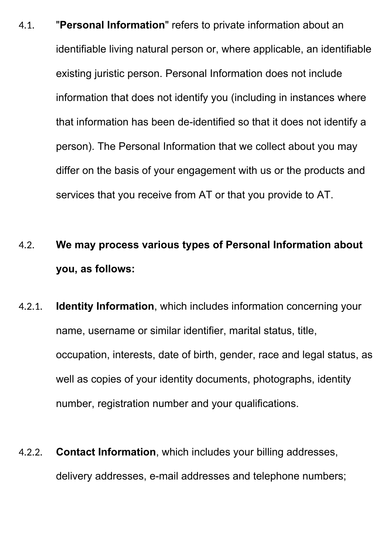- 4.1. "**Personal Information**" refers to private information about an identifiable living natural person or, where applicable, an identifiable existing juristic person. Personal Information does not include information that does not identify you (including in instances where that information has been de-identified so that it does not identify a person). The Personal Information that we collect about you may differ on the basis of your engagement with us or the products and services that you receive from AT or that you provide to AT.
- 4.2. **We may process various types of Personal Information about you, as follows:**
- 4.2.1. **Identity Information**, which includes information concerning your name, username or similar identifier, marital status, title, occupation, interests, date of birth, gender, race and legal status, as well as copies of your identity documents, photographs, identity number, registration number and your qualifications.
- 4.2.2. **Contact Information**, which includes your billing addresses, delivery addresses, e-mail addresses and telephone numbers;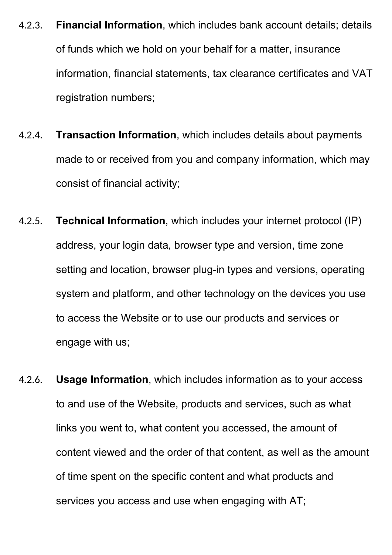- 4.2.3. **Financial Information**, which includes bank account details; details of funds which we hold on your behalf for a matter, insurance information, financial statements, tax clearance certificates and VAT registration numbers;
- 4.2.4. **Transaction Information**, which includes details about payments made to or received from you and company information, which may consist of financial activity;
- 4.2.5. **Technical Information**, which includes your internet protocol (IP) address, your login data, browser type and version, time zone setting and location, browser plug-in types and versions, operating system and platform, and other technology on the devices you use to access the Website or to use our products and services or engage with us;
- 4.2.6. **Usage Information**, which includes information as to your access to and use of the Website, products and services, such as what links you went to, what content you accessed, the amount of content viewed and the order of that content, as well as the amount of time spent on the specific content and what products and services you access and use when engaging with AT;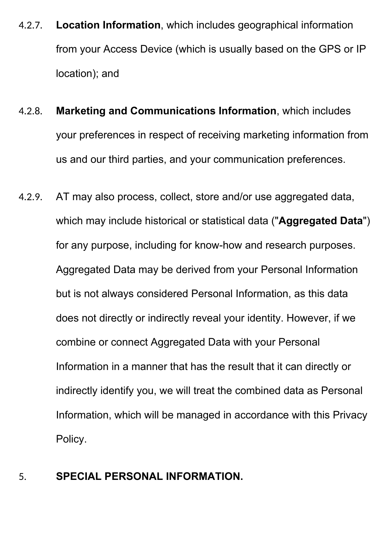- 4.2.7. **Location Information**, which includes geographical information from your Access Device (which is usually based on the GPS or IP location); and
- 4.2.8. **Marketing and Communications Information**, which includes your preferences in respect of receiving marketing information from us and our third parties, and your communication preferences.
- 4.2.9. AT may also process, collect, store and/or use aggregated data, which may include historical or statistical data ("**Aggregated Data**") for any purpose, including for know-how and research purposes. Aggregated Data may be derived from your Personal Information but is not always considered Personal Information, as this data does not directly or indirectly reveal your identity. However, if we combine or connect Aggregated Data with your Personal Information in a manner that has the result that it can directly or indirectly identify you, we will treat the combined data as Personal Information, which will be managed in accordance with this Privacy Policy.
- 5. **SPECIAL PERSONAL INFORMATION.**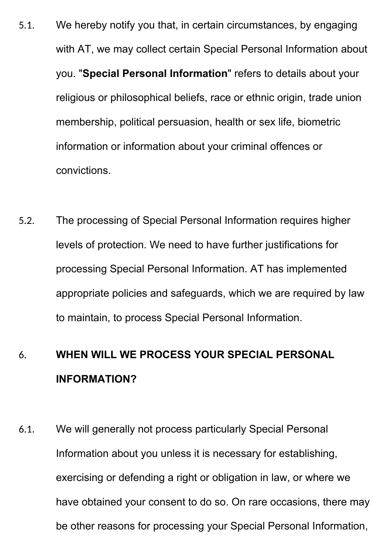- 5.1. We hereby notify you that, in certain circumstances, by engaging with AT, we may collect certain Special Personal Information about you. "**Special Personal Information**" refers to details about your religious or philosophical beliefs, race or ethnic origin, trade union membership, political persuasion, health or sex life, biometric information or information about your criminal offences or convictions.
- 5.2. The processing of Special Personal Information requires higher levels of protection. We need to have further justifications for processing Special Personal Information. AT has implemented appropriate policies and safeguards, which we are required by law to maintain, to process Special Personal Information.

# 6. **WHEN WILL WE PROCESS YOUR SPECIAL PERSONAL INFORMATION?**

6.1. We will generally not process particularly Special Personal Information about you unless it is necessary for establishing, exercising or defending a right or obligation in law, or where we have obtained your consent to do so. On rare occasions, there may be other reasons for processing your Special Personal Information,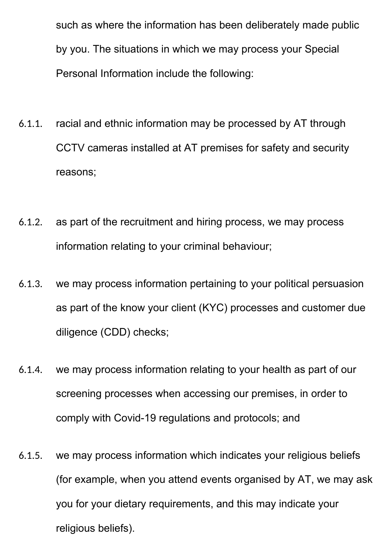such as where the information has been deliberately made public by you. The situations in which we may process your Special Personal Information include the following:

- 6.1.1. racial and ethnic information may be processed by AT through CCTV cameras installed at AT premises for safety and security reasons;
- 6.1.2. as part of the recruitment and hiring process, we may process information relating to your criminal behaviour;
- 6.1.3. we may process information pertaining to your political persuasion as part of the know your client (KYC) processes and customer due diligence (CDD) checks;
- 6.1.4. we may process information relating to your health as part of our screening processes when accessing our premises, in order to comply with Covid-19 regulations and protocols; and
- 6.1.5. we may process information which indicates your religious beliefs (for example, when you attend events organised by AT, we may ask you for your dietary requirements, and this may indicate your religious beliefs).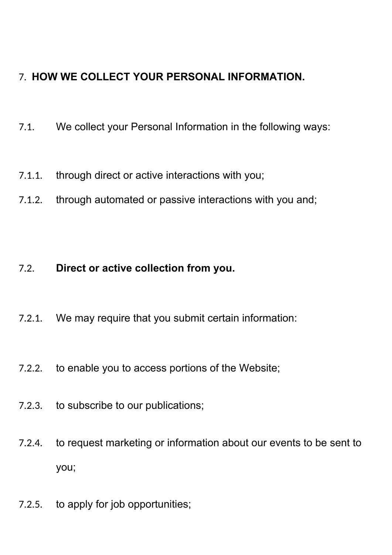# 7. **HOW WE COLLECT YOUR PERSONAL INFORMATION.**

- 7.1. We collect your Personal Information in the following ways:
- 7.1.1. through direct or active interactions with you;
- 7.1.2. through automated or passive interactions with you and;

## 7.2. **Direct or active collection from you.**

- 7.2.1. We may require that you submit certain information:
- 7.2.2. to enable you to access portions of the Website;
- 7.2.3. to subscribe to our publications;
- 7.2.4. to request marketing or information about our events to be sent to you;
- 7.2.5. to apply for job opportunities;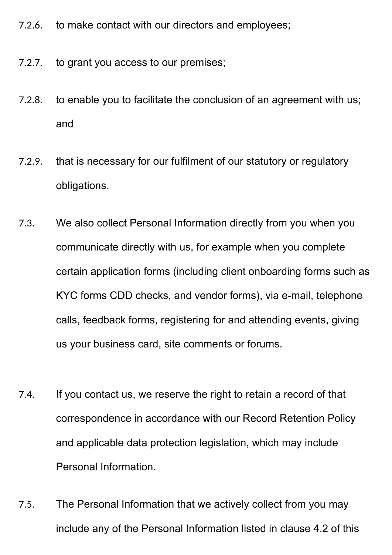- 7.2.6. to make contact with our directors and employees;
- 7.2.7. to grant you access to our premises;
- 7.2.8. to enable you to facilitate the conclusion of an agreement with us; and
- 7.2.9. that is necessary for our fulfilment of our statutory or regulatory obligations.
- 7.3. We also collect Personal Information directly from you when you communicate directly with us, for example when you complete certain application forms (including client onboarding forms such as KYC forms CDD checks, and vendor forms), via e-mail, telephone calls, feedback forms, registering for and attending events, giving us your business card, site comments or forums.
- 7.4. If you contact us, we reserve the right to retain a record of that correspondence in accordance with our Record Retention Policy and applicable data protection legislation, which may include Personal Information.
- 7.5. The Personal Information that we actively collect from you may include any of the Personal Information listed in clause 4.2 of this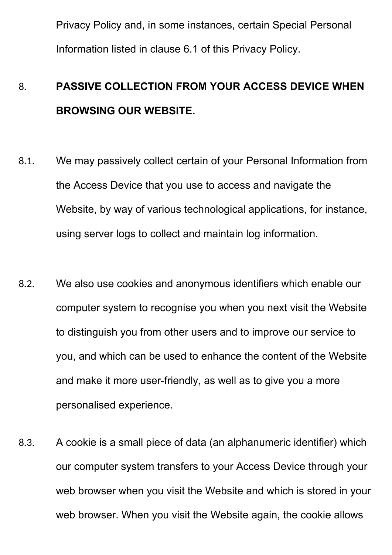Privacy Policy and, in some instances, certain Special Personal Information listed in clause 6.1 of this Privacy Policy.

# 8. **PASSIVE COLLECTION FROM YOUR ACCESS DEVICE WHEN BROWSING OUR WEBSITE.**

- 8.1. We may passively collect certain of your Personal Information from the Access Device that you use to access and navigate the Website, by way of various technological applications, for instance, using server logs to collect and maintain log information.
- 8.2. We also use cookies and anonymous identifiers which enable our computer system to recognise you when you next visit the Website to distinguish you from other users and to improve our service to you, and which can be used to enhance the content of the Website and make it more user-friendly, as well as to give you a more personalised experience.
- 8.3. A cookie is a small piece of data (an alphanumeric identifier) which our computer system transfers to your Access Device through your web browser when you visit the Website and which is stored in your web browser. When you visit the Website again, the cookie allows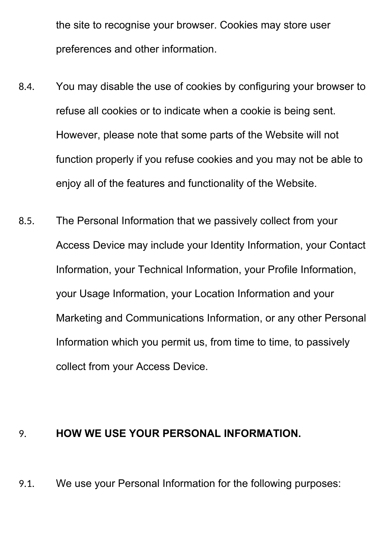the site to recognise your browser. Cookies may store user preferences and other information.

- 8.4. You may disable the use of cookies by configuring your browser to refuse all cookies or to indicate when a cookie is being sent. However, please note that some parts of the Website will not function properly if you refuse cookies and you may not be able to enjoy all of the features and functionality of the Website.
- 8.5. The Personal Information that we passively collect from your Access Device may include your Identity Information, your Contact Information, your Technical Information, your Profile Information, your Usage Information, your Location Information and your Marketing and Communications Information, or any other Personal Information which you permit us, from time to time, to passively collect from your Access Device.

#### 9. **HOW WE USE YOUR PERSONAL INFORMATION.**

9.1. We use your Personal Information for the following purposes: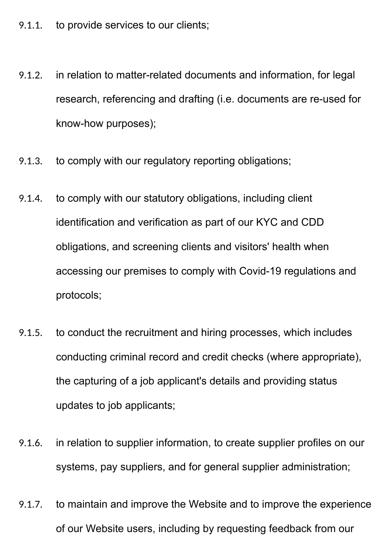- 9.1.1. to provide services to our clients;
- 9.1.2. in relation to matter-related documents and information, for legal research, referencing and drafting (i.e. documents are re-used for know-how purposes);
- 9.1.3. to comply with our regulatory reporting obligations;
- 9.1.4. to comply with our statutory obligations, including client identification and verification as part of our KYC and CDD obligations, and screening clients and visitors' health when accessing our premises to comply with Covid-19 regulations and protocols;
- 9.1.5. to conduct the recruitment and hiring processes, which includes conducting criminal record and credit checks (where appropriate), the capturing of a job applicant's details and providing status updates to job applicants;
- 9.1.6. in relation to supplier information, to create supplier profiles on our systems, pay suppliers, and for general supplier administration;
- 9.1.7. to maintain and improve the Website and to improve the experience of our Website users, including by requesting feedback from our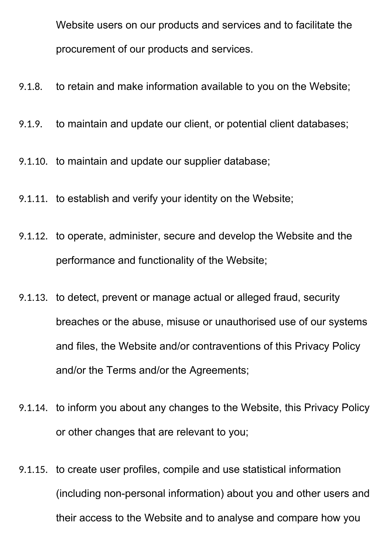Website users on our products and services and to facilitate the procurement of our products and services.

- 9.1.8. to retain and make information available to you on the Website;
- 9.1.9. to maintain and update our client, or potential client databases;
- 9.1.10. to maintain and update our supplier database;
- 9.1.11. to establish and verify your identity on the Website;
- 9.1.12. to operate, administer, secure and develop the Website and the performance and functionality of the Website;
- 9.1.13. to detect, prevent or manage actual or alleged fraud, security breaches or the abuse, misuse or unauthorised use of our systems and files, the Website and/or contraventions of this Privacy Policy and/or the Terms and/or the Agreements;
- 9.1.14. to inform you about any changes to the Website, this Privacy Policy or other changes that are relevant to you;
- 9.1.15. to create user profiles, compile and use statistical information (including non-personal information) about you and other users and their access to the Website and to analyse and compare how you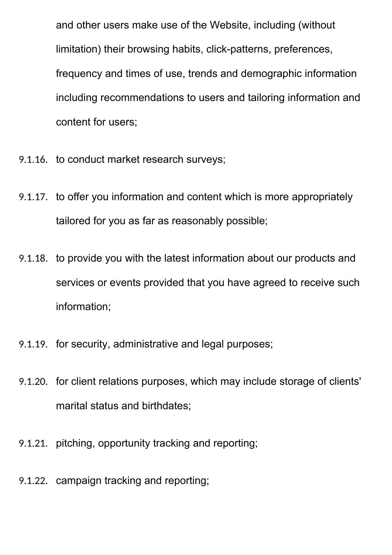and other users make use of the Website, including (without limitation) their browsing habits, click-patterns, preferences, frequency and times of use, trends and demographic information including recommendations to users and tailoring information and content for users;

- 9.1.16. to conduct market research surveys;
- 9.1.17. to offer you information and content which is more appropriately tailored for you as far as reasonably possible;
- 9.1.18. to provide you with the latest information about our products and services or events provided that you have agreed to receive such information;
- 9.1.19. for security, administrative and legal purposes;
- 9.1.20. for client relations purposes, which may include storage of clients' marital status and birthdates;
- 9.1.21. pitching, opportunity tracking and reporting;
- 9.1.22. campaign tracking and reporting;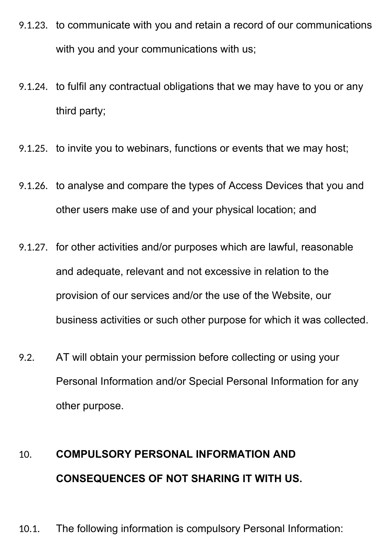- 9.1.23. to communicate with you and retain a record of our communications with you and your communications with us;
- 9.1.24. to fulfil any contractual obligations that we may have to you or any third party;
- 9.1.25. to invite you to webinars, functions or events that we may host;
- 9.1.26. to analyse and compare the types of Access Devices that you and other users make use of and your physical location; and
- 9.1.27. for other activities and/or purposes which are lawful, reasonable and adequate, relevant and not excessive in relation to the provision of our services and/or the use of the Website, our business activities or such other purpose for which it was collected.
- 9.2. AT will obtain your permission before collecting or using your Personal Information and/or Special Personal Information for any other purpose.

# 10. **COMPULSORY PERSONAL INFORMATION AND CONSEQUENCES OF NOT SHARING IT WITH US.**

10.1. The following information is compulsory Personal Information: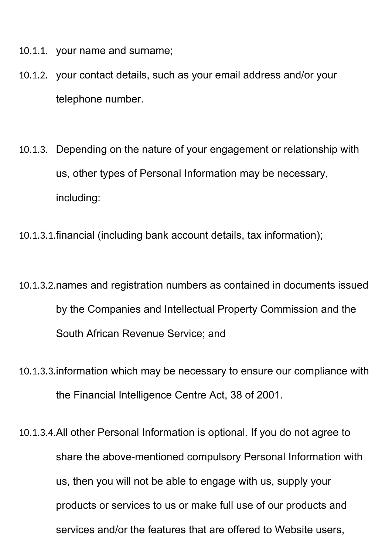- 10.1.1. your name and surname;
- 10.1.2. your contact details, such as your email address and/or your telephone number.
- 10.1.3. Depending on the nature of your engagement or relationship with us, other types of Personal Information may be necessary, including:
- 10.1.3.1.financial (including bank account details, tax information);
- 10.1.3.2.names and registration numbers as contained in documents issued by the Companies and Intellectual Property Commission and the South African Revenue Service; and
- 10.1.3.3.information which may be necessary to ensure our compliance with the Financial Intelligence Centre Act, 38 of 2001.
- 10.1.3.4.All other Personal Information is optional. If you do not agree to share the above-mentioned compulsory Personal Information with us, then you will not be able to engage with us, supply your products or services to us or make full use of our products and services and/or the features that are offered to Website users,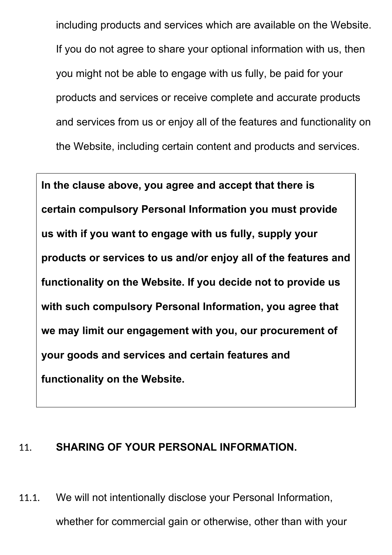including products and services which are available on the Website. If you do not agree to share your optional information with us, then you might not be able to engage with us fully, be paid for your products and services or receive complete and accurate products and services from us or enjoy all of the features and functionality on the Website, including certain content and products and services.

**In the clause above, you agree and accept that there is certain compulsory Personal Information you must provide us with if you want to engage with us fully, supply your products or services to us and/or enjoy all of the features and functionality on the Website. If you decide not to provide us with such compulsory Personal Information, you agree that we may limit our engagement with you, our procurement of your goods and services and certain features and functionality on the Website.**

#### 11. **SHARING OF YOUR PERSONAL INFORMATION.**

11.1. We will not intentionally disclose your Personal Information, whether for commercial gain or otherwise, other than with your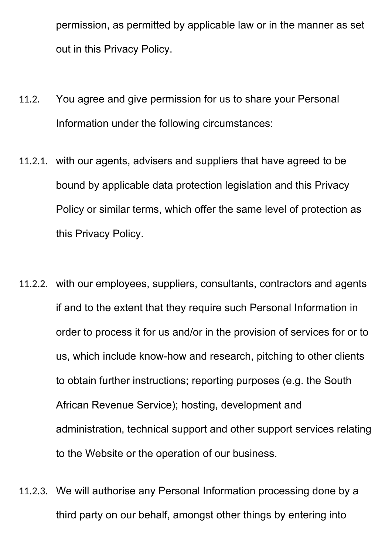permission, as permitted by applicable law or in the manner as set out in this Privacy Policy.

- 11.2. You agree and give permission for us to share your Personal Information under the following circumstances:
- 11.2.1. with our agents, advisers and suppliers that have agreed to be bound by applicable data protection legislation and this Privacy Policy or similar terms, which offer the same level of protection as this Privacy Policy.
- 11.2.2. with our employees, suppliers, consultants, contractors and agents if and to the extent that they require such Personal Information in order to process it for us and/or in the provision of services for or to us, which include know-how and research, pitching to other clients to obtain further instructions; reporting purposes (e.g. the South African Revenue Service); hosting, development and administration, technical support and other support services relating to the Website or the operation of our business.
- 11.2.3. We will authorise any Personal Information processing done by a third party on our behalf, amongst other things by entering into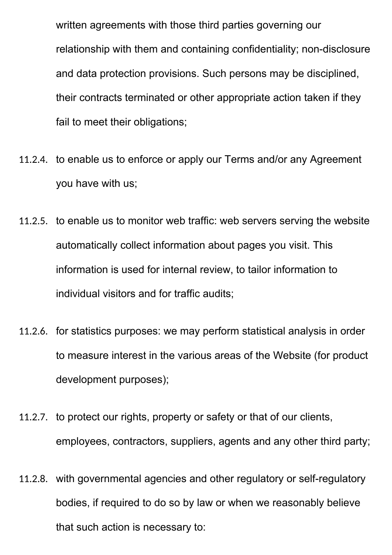written agreements with those third parties governing our relationship with them and containing confidentiality; non-disclosure and data protection provisions. Such persons may be disciplined, their contracts terminated or other appropriate action taken if they fail to meet their obligations;

- 11.2.4. to enable us to enforce or apply our Terms and/or any Agreement you have with us;
- 11.2.5. to enable us to monitor web traffic: web servers serving the website automatically collect information about pages you visit. This information is used for internal review, to tailor information to individual visitors and for traffic audits;
- 11.2.6. for statistics purposes: we may perform statistical analysis in order to measure interest in the various areas of the Website (for product development purposes);
- 11.2.7. to protect our rights, property or safety or that of our clients, employees, contractors, suppliers, agents and any other third party;
- 11.2.8. with governmental agencies and other regulatory or self-regulatory bodies, if required to do so by law or when we reasonably believe that such action is necessary to: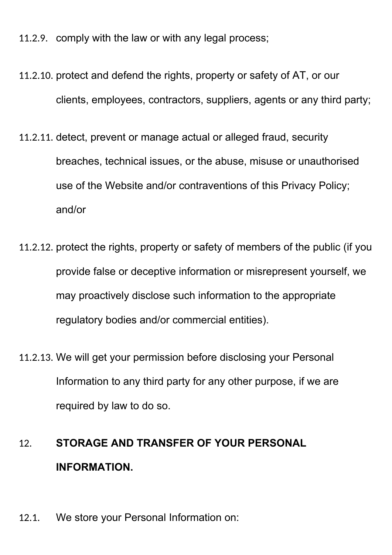11.2.9. comply with the law or with any legal process;

- 11.2.10. protect and defend the rights, property or safety of AT, or our clients, employees, contractors, suppliers, agents or any third party;
- 11.2.11. detect, prevent or manage actual or alleged fraud, security breaches, technical issues, or the abuse, misuse or unauthorised use of the Website and/or contraventions of this Privacy Policy; and/or
- 11.2.12. protect the rights, property or safety of members of the public (if you provide false or deceptive information or misrepresent yourself, we may proactively disclose such information to the appropriate regulatory bodies and/or commercial entities).
- 11.2.13. We will get your permission before disclosing your Personal Information to any third party for any other purpose, if we are required by law to do so.

# 12. **STORAGE AND TRANSFER OF YOUR PERSONAL INFORMATION.**

12.1. We store your Personal Information on: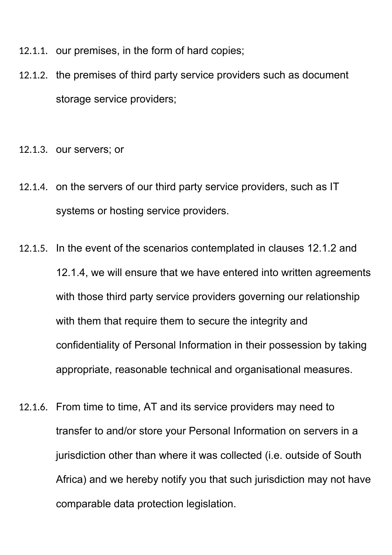- 12.1.1. our premises, in the form of hard copies;
- 12.1.2. the premises of third party service providers such as document storage service providers;
- 12.1.3. our servers; or
- 12.1.4. on the servers of our third party service providers, such as IT systems or hosting service providers.
- 12.1.5. In the event of the scenarios contemplated in clauses 12.1.2 and 12.1.4, we will ensure that we have entered into written agreements with those third party service providers governing our relationship with them that require them to secure the integrity and confidentiality of Personal Information in their possession by taking appropriate, reasonable technical and organisational measures.
- 12.1.6. From time to time, AT and its service providers may need to transfer to and/or store your Personal Information on servers in a jurisdiction other than where it was collected (i.e. outside of South Africa) and we hereby notify you that such jurisdiction may not have comparable data protection legislation.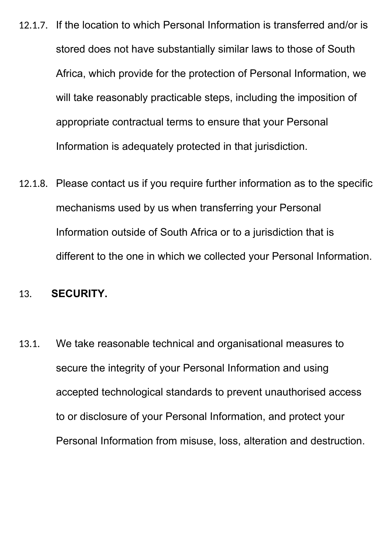- 12.1.7. If the location to which Personal Information is transferred and/or is stored does not have substantially similar laws to those of South Africa, which provide for the protection of Personal Information, we will take reasonably practicable steps, including the imposition of appropriate contractual terms to ensure that your Personal Information is adequately protected in that jurisdiction.
- 12.1.8. Please contact us if you require further information as to the specific mechanisms used by us when transferring your Personal Information outside of South Africa or to a jurisdiction that is different to the one in which we collected your Personal Information.

#### 13. **SECURITY.**

13.1. We take reasonable technical and organisational measures to secure the integrity of your Personal Information and using accepted technological standards to prevent unauthorised access to or disclosure of your Personal Information, and protect your Personal Information from misuse, loss, alteration and destruction.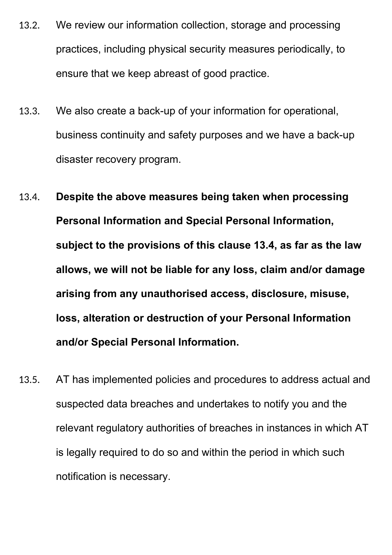- 13.2. We review our information collection, storage and processing practices, including physical security measures periodically, to ensure that we keep abreast of good practice.
- 13.3. We also create a back-up of your information for operational, business continuity and safety purposes and we have a back-up disaster recovery program.
- 13.4. **Despite the above measures being taken when processing Personal Information and Special Personal Information, subject to the provisions of this clause 13.4, as far as the law allows, we will not be liable for any loss, claim and/or damage arising from any unauthorised access, disclosure, misuse, loss, alteration or destruction of your Personal Information and/or Special Personal Information.**
- 13.5. AT has implemented policies and procedures to address actual and suspected data breaches and undertakes to notify you and the relevant regulatory authorities of breaches in instances in which AT is legally required to do so and within the period in which such notification is necessary.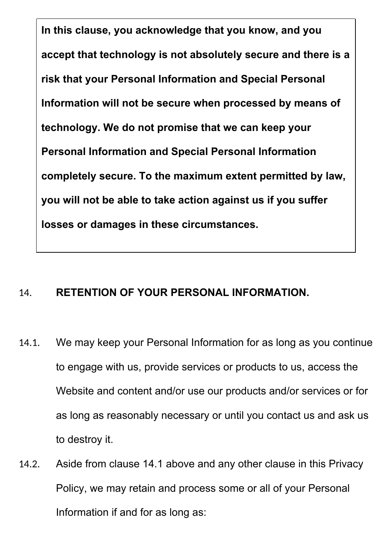**In this clause, you acknowledge that you know, and you accept that technology is not absolutely secure and there is a risk that your Personal Information and Special Personal Information will not be secure when processed by means of technology. We do not promise that we can keep your Personal Information and Special Personal Information completely secure. To the maximum extent permitted by law, you will not be able to take action against us if you suffer losses or damages in these circumstances.**

# 14. **RETENTION OF YOUR PERSONAL INFORMATION.**

- 14.1. We may keep your Personal Information for as long as you continue to engage with us, provide services or products to us, access the Website and content and/or use our products and/or services or for as long as reasonably necessary or until you contact us and ask us to destroy it.
- 14.2. Aside from clause 14.1 above and any other clause in this Privacy Policy, we may retain and process some or all of your Personal Information if and for as long as: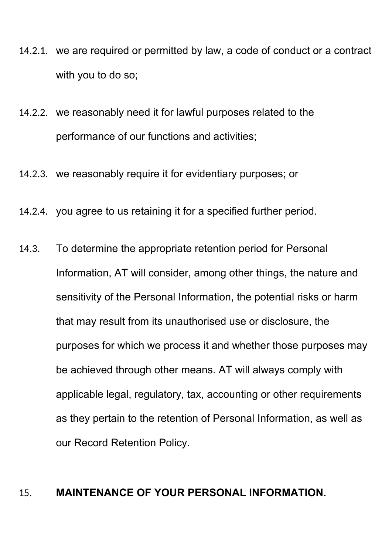- 14.2.1. we are required or permitted by law, a code of conduct or a contract with you to do so;
- 14.2.2. we reasonably need it for lawful purposes related to the performance of our functions and activities;
- 14.2.3. we reasonably require it for evidentiary purposes; or
- 14.2.4. you agree to us retaining it for a specified further period.
- 14.3. To determine the appropriate retention period for Personal Information, AT will consider, among other things, the nature and sensitivity of the Personal Information, the potential risks or harm that may result from its unauthorised use or disclosure, the purposes for which we process it and whether those purposes may be achieved through other means. AT will always comply with applicable legal, regulatory, tax, accounting or other requirements as they pertain to the retention of Personal Information, as well as our Record Retention Policy.

#### 15. **MAINTENANCE OF YOUR PERSONAL INFORMATION.**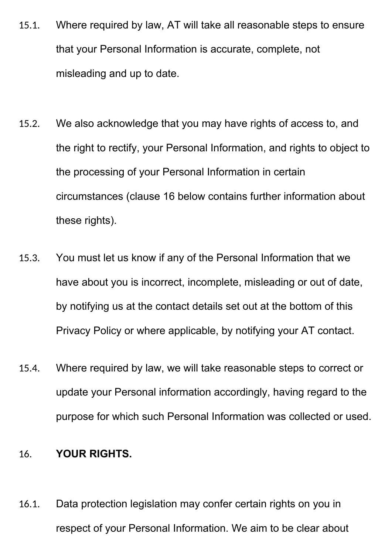- 15.1. Where required by law, AT will take all reasonable steps to ensure that your Personal Information is accurate, complete, not misleading and up to date.
- 15.2. We also acknowledge that you may have rights of access to, and the right to rectify, your Personal Information, and rights to object to the processing of your Personal Information in certain circumstances (clause 16 below contains further information about these rights).
- 15.3. You must let us know if any of the Personal Information that we have about you is incorrect, incomplete, misleading or out of date, by notifying us at the contact details set out at the bottom of this Privacy Policy or where applicable, by notifying your AT contact.
- 15.4. Where required by law, we will take reasonable steps to correct or update your Personal information accordingly, having regard to the purpose for which such Personal Information was collected or used.

#### 16. **YOUR RIGHTS.**

16.1. Data protection legislation may confer certain rights on you in respect of your Personal Information. We aim to be clear about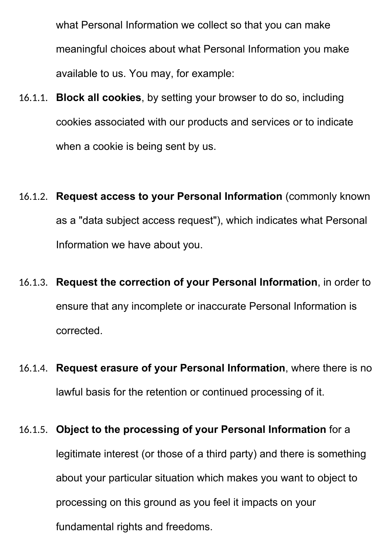what Personal Information we collect so that you can make meaningful choices about what Personal Information you make available to us. You may, for example:

- 16.1.1. **Block all cookies**, by setting your browser to do so, including cookies associated with our products and services or to indicate when a cookie is being sent by us.
- 16.1.2. **Request access to your Personal Information** (commonly known as a "data subject access request"), which indicates what Personal Information we have about you.
- 16.1.3. **Request the correction of your Personal Information**, in order to ensure that any incomplete or inaccurate Personal Information is corrected.
- 16.1.4. **Request erasure of your Personal Information**, where there is no lawful basis for the retention or continued processing of it.

# 16.1.5. **Object to the processing of your Personal Information** for a legitimate interest (or those of a third party) and there is something about your particular situation which makes you want to object to processing on this ground as you feel it impacts on your fundamental rights and freedoms.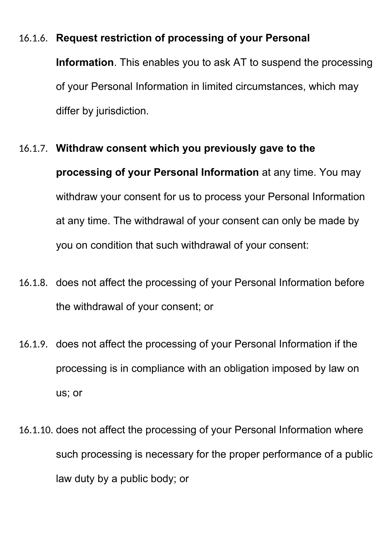## 16.1.6. **Request restriction of processing of your Personal**

**Information**. This enables you to ask AT to suspend the processing of your Personal Information in limited circumstances, which may differ by jurisdiction.

#### 16.1.7. **Withdraw consent which you previously gave to the**

**processing of your Personal Information** at any time. You may withdraw your consent for us to process your Personal Information at any time. The withdrawal of your consent can only be made by you on condition that such withdrawal of your consent:

- 16.1.8. does not affect the processing of your Personal Information before the withdrawal of your consent; or
- 16.1.9. does not affect the processing of your Personal Information if the processing is in compliance with an obligation imposed by law on us; or
- 16.1.10. does not affect the processing of your Personal Information where such processing is necessary for the proper performance of a public law duty by a public body; or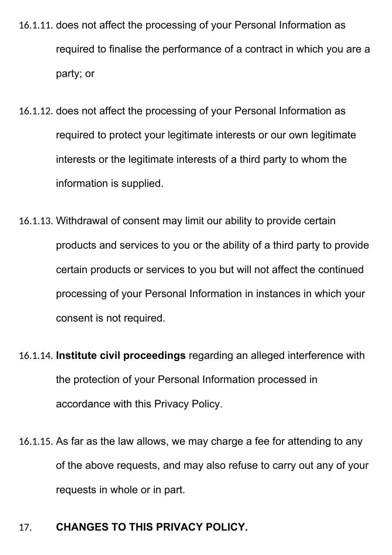- 16.1.11. does not affect the processing of your Personal Information as required to finalise the performance of a contract in which you are a party; or
- 16.1.12. does not affect the processing of your Personal Information as required to protect your legitimate interests or our own legitimate interests or the legitimate interests of a third party to whom the information is supplied.
- 16.1.13. Withdrawal of consent may limit our ability to provide certain products and services to you or the ability of a third party to provide certain products or services to you but will not affect the continued processing of your Personal Information in instances in which your consent is not required.
- 16.1.14. **Institute civil proceedings** regarding an alleged interference with the protection of your Personal Information processed in accordance with this Privacy Policy.
- 16.1.15. As far as the law allows, we may charge a fee for attending to any of the above requests, and may also refuse to carry out any of your requests in whole or in part.

# 17. **CHANGES TO THIS PRIVACY POLICY.**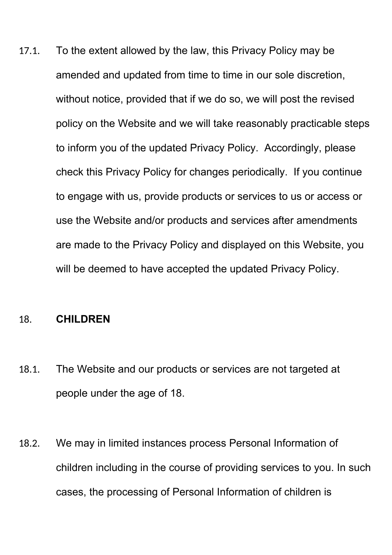17.1. To the extent allowed by the law, this Privacy Policy may be amended and updated from time to time in our sole discretion, without notice, provided that if we do so, we will post the revised policy on the Website and we will take reasonably practicable steps to inform you of the updated Privacy Policy. Accordingly, please check this Privacy Policy for changes periodically. If you continue to engage with us, provide products or services to us or access or use the Website and/or products and services after amendments are made to the Privacy Policy and displayed on this Website, you will be deemed to have accepted the updated Privacy Policy.

#### 18. **CHILDREN**

- 18.1. The Website and our products or services are not targeted at people under the age of 18.
- 18.2. We may in limited instances process Personal Information of children including in the course of providing services to you. In such cases, the processing of Personal Information of children is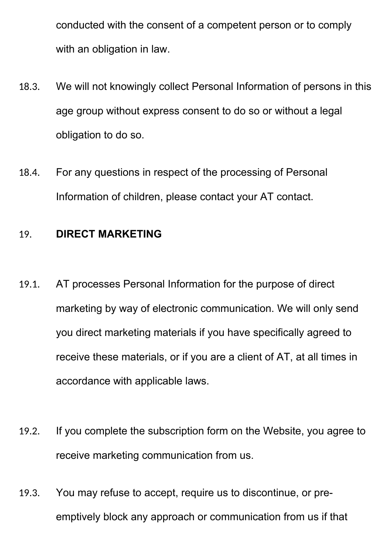conducted with the consent of a competent person or to comply with an obligation in law.

- 18.3. We will not knowingly collect Personal Information of persons in this age group without express consent to do so or without a legal obligation to do so.
- 18.4. For any questions in respect of the processing of Personal Information of children, please contact your AT contact.

## 19. **DIRECT MARKETING**

- 19.1. AT processes Personal Information for the purpose of direct marketing by way of electronic communication. We will only send you direct marketing materials if you have specifically agreed to receive these materials, or if you are a client of AT, at all times in accordance with applicable laws.
- 19.2. If you complete the subscription form on the Website, you agree to receive marketing communication from us.
- 19.3. You may refuse to accept, require us to discontinue, or preemptively block any approach or communication from us if that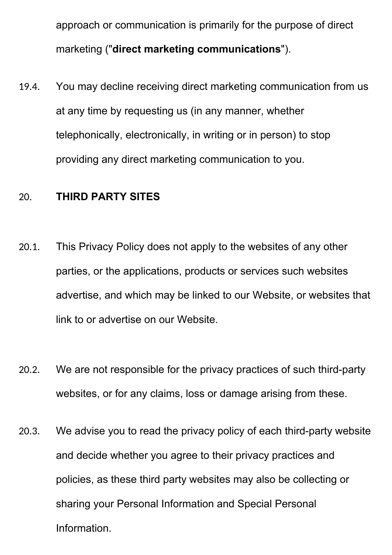approach or communication is primarily for the purpose of direct marketing ("**direct marketing communications**").

19.4. You may decline receiving direct marketing communication from us at any time by requesting us (in any manner, whether telephonically, electronically, in writing or in person) to stop providing any direct marketing communication to you.

# 20. **THIRD PARTY SITES**

- 20.1. This Privacy Policy does not apply to the websites of any other parties, or the applications, products or services such websites advertise, and which may be linked to our Website, or websites that link to or advertise on our Website.
- 20.2. We are not responsible for the privacy practices of such third-party websites, or for any claims, loss or damage arising from these.
- 20.3. We advise you to read the privacy policy of each third-party website and decide whether you agree to their privacy practices and policies, as these third party websites may also be collecting or sharing your Personal Information and Special Personal Information.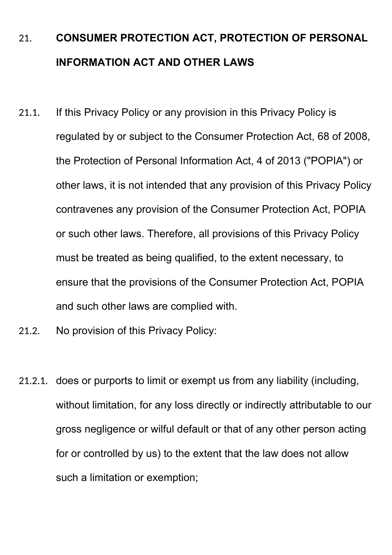# 21. **CONSUMER PROTECTION ACT, PROTECTION OF PERSONAL INFORMATION ACT AND OTHER LAWS**

- 21.1. If this Privacy Policy or any provision in this Privacy Policy is regulated by or subject to the Consumer Protection Act, 68 of 2008, the Protection of Personal Information Act, 4 of 2013 ("POPIA") or other laws, it is not intended that any provision of this Privacy Policy contravenes any provision of the Consumer Protection Act, POPIA or such other laws. Therefore, all provisions of this Privacy Policy must be treated as being qualified, to the extent necessary, to ensure that the provisions of the Consumer Protection Act, POPIA and such other laws are complied with.
- 21.2. No provision of this Privacy Policy:
- 21.2.1. does or purports to limit or exempt us from any liability (including, without limitation, for any loss directly or indirectly attributable to our gross negligence or wilful default or that of any other person acting for or controlled by us) to the extent that the law does not allow such a limitation or exemption;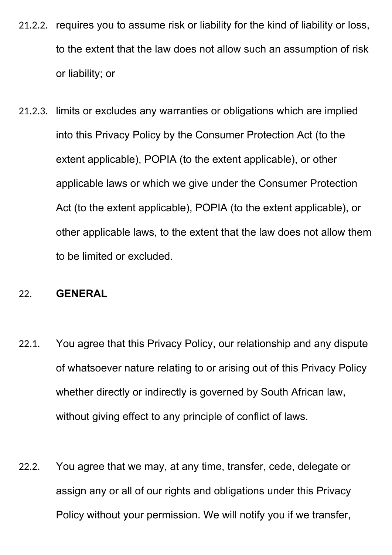- 21.2.2. requires you to assume risk or liability for the kind of liability or loss, to the extent that the law does not allow such an assumption of risk or liability; or
- 21.2.3. limits or excludes any warranties or obligations which are implied into this Privacy Policy by the Consumer Protection Act (to the extent applicable), POPIA (to the extent applicable), or other applicable laws or which we give under the Consumer Protection Act (to the extent applicable), POPIA (to the extent applicable), or other applicable laws, to the extent that the law does not allow them to be limited or excluded.

## 22. **GENERAL**

- 22.1. You agree that this Privacy Policy, our relationship and any dispute of whatsoever nature relating to or arising out of this Privacy Policy whether directly or indirectly is governed by South African law, without giving effect to any principle of conflict of laws.
- 22.2. You agree that we may, at any time, transfer, cede, delegate or assign any or all of our rights and obligations under this Privacy Policy without your permission. We will notify you if we transfer,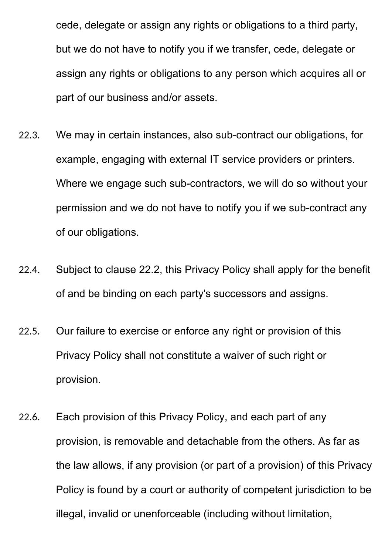cede, delegate or assign any rights or obligations to a third party, but we do not have to notify you if we transfer, cede, delegate or assign any rights or obligations to any person which acquires all or part of our business and/or assets.

- 22.3. We may in certain instances, also sub-contract our obligations, for example, engaging with external IT service providers or printers. Where we engage such sub-contractors, we will do so without your permission and we do not have to notify you if we sub-contract any of our obligations.
- 22.4. Subject to clause 22.2, this Privacy Policy shall apply for the benefit of and be binding on each party's successors and assigns.
- 22.5. Our failure to exercise or enforce any right or provision of this Privacy Policy shall not constitute a waiver of such right or provision.
- 22.6. Each provision of this Privacy Policy, and each part of any provision, is removable and detachable from the others. As far as the law allows, if any provision (or part of a provision) of this Privacy Policy is found by a court or authority of competent jurisdiction to be illegal, invalid or unenforceable (including without limitation,